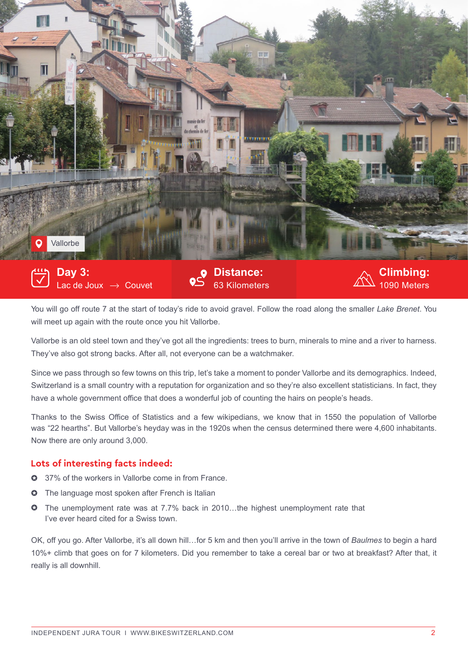

You will go off route 7 at the start of today's ride to avoid gravel. Follow the road along the smaller *Lake Brenet*. You will meet up again with the route once you hit Vallorbe.

Vallorbe is an old steel town and they've got all the ingredients: trees to burn, minerals to mine and a river to harness. They've also got strong backs. After all, not everyone can be a watchmaker.

Since we pass through so few towns on this trip, let's take a moment to ponder Vallorbe and its demographics. Indeed, Switzerland is a small country with a reputation for organization and so they're also excellent statisticians. In fact, they have a whole government office that does a wonderful job of counting the hairs on people's heads.

Thanks to the Swiss Office of Statistics and a few wikipedians, we know that in 1550 the population of Vallorbe was "22 hearths". But Vallorbe's heyday was in the 1920s when the census determined there were 4,600 inhabitants. Now there are only around 3,000.

## **Lots of interesting facts indeed:**

- **37% of the workers in Vallorbe come in from France.**
- **O** The language most spoken after French is Italian
- **O** The unemployment rate was at 7.7% back in 2010...the highest unemployment rate that I've ever heard cited for a Swiss town.

OK, off you go. After Vallorbe, it's all down hill…for 5 km and then you'll arrive in the town of *Baulmes* to begin a hard 10%+ climb that goes on for 7 kilometers. Did you remember to take a cereal bar or two at breakfast? After that, it really is all downhill.